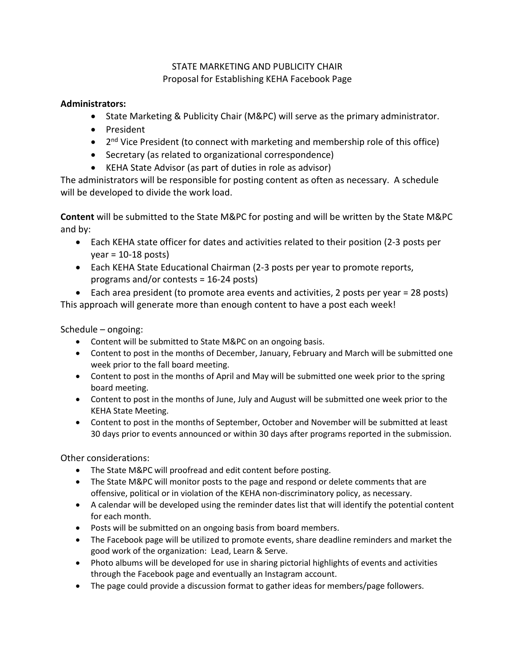## STATE MARKETING AND PUBLICITY CHAIR Proposal for Establishing KEHA Facebook Page

## **Administrators:**

- State Marketing & Publicity Chair (M&PC) will serve as the primary administrator.
- President
- $2<sup>nd</sup>$  Vice President (to connect with marketing and membership role of this office)
- Secretary (as related to organizational correspondence)
- KEHA State Advisor (as part of duties in role as advisor)

The administrators will be responsible for posting content as often as necessary. A schedule will be developed to divide the work load.

**Content** will be submitted to the State M&PC for posting and will be written by the State M&PC and by:

- Each KEHA state officer for dates and activities related to their position (2-3 posts per  $year = 10-18$  posts)
- Each KEHA State Educational Chairman (2-3 posts per year to promote reports, programs and/or contests = 16-24 posts)

• Each area president (to promote area events and activities, 2 posts per year = 28 posts) This approach will generate more than enough content to have a post each week!

Schedule – ongoing:

- Content will be submitted to State M&PC on an ongoing basis.
- Content to post in the months of December, January, February and March will be submitted one week prior to the fall board meeting.
- Content to post in the months of April and May will be submitted one week prior to the spring board meeting.
- Content to post in the months of June, July and August will be submitted one week prior to the KEHA State Meeting.
- Content to post in the months of September, October and November will be submitted at least 30 days prior to events announced or within 30 days after programs reported in the submission.

Other considerations:

- The State M&PC will proofread and edit content before posting.
- The State M&PC will monitor posts to the page and respond or delete comments that are offensive, political or in violation of the KEHA non-discriminatory policy, as necessary.
- A calendar will be developed using the reminder dates list that will identify the potential content for each month.
- Posts will be submitted on an ongoing basis from board members.
- The Facebook page will be utilized to promote events, share deadline reminders and market the good work of the organization: Lead, Learn & Serve.
- Photo albums will be developed for use in sharing pictorial highlights of events and activities through the Facebook page and eventually an Instagram account.
- The page could provide a discussion format to gather ideas for members/page followers.